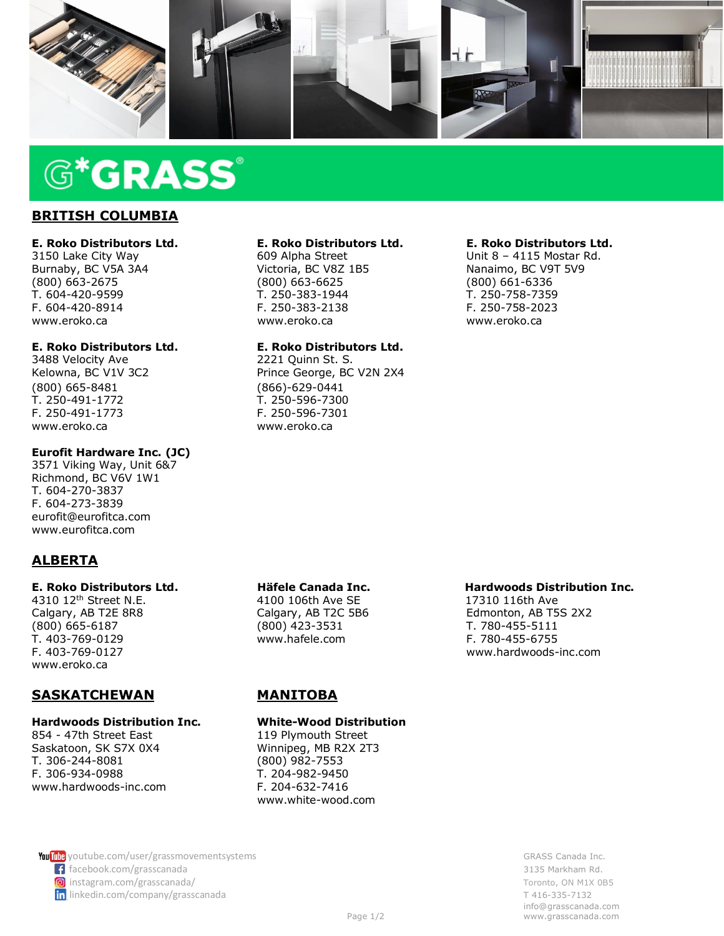

# **G\*GRASS**®

### **BRITISH COLUMBIA**

### **E. Roko Distributors Ltd. E. Roko Distributors Ltd. E. Roko Distributors Ltd.**

(800) 663-2675 (800) 663-6625 (800) 661-6336 T. 604-420-9599 T. 250-383-1944 T. 250-758-7359 F. 604-420-8914 F. 250-383-2138 F. 250-758-2023 www.eroko.ca www.eroko.ca www.eroko.ca

3488 Velocity Ave 2221 Ouinn St. S. (800) 665-8481 (866)-629-0441 T. 250-491-1772 T. 250-596-7300 F. 250-491-1773 F. 250-596-7301 [www.eroko.ca](http://www.eroko.ca/) [www.eroko.ca](http://www.eroko.ca/)

### **Eurofit Hardware Inc. (JC)**

3571 Viking Way, Unit 6&7 Richmond, BC V6V 1W1 T. 604-270-3837 F. 604-273-3839 eurofit@eurofitca.com www.eurofitca.com

### **ALBERTA**

4310 12th Street N.E. 4100 106th Ave SE 17310 116th Ave [www.eroko.ca](http://www.eroko.ca/)

### **SASKATCHEWAN MANITOBA**

# **Hardwoods Distribution Inc. White-Wood Distribution**

854 - 47th Street East Saskatoon, SK S7X 0X4 Winnipeg, MB R2X 2T3 T. 306-244-8081 (800) 982-7553 F. 306-934-0988 T. 204-982-9450 www.hardwoods-inc.com F. 204-632-7416

## **E. Roko Distributors Ltd. E. Roko Distributors Ltd.**<br>609 Alpha Street **Ltd.** Unit 8 - 4115 Mostar Rd.

Victoria, BC V8Z 1B5<br>(800) 663-6625

### **E. Roko Distributors Ltd. E. Roko Distributors Ltd.**

Kelowna, BC V1V 3C2 Prince George, BC V2N 2X4

3150 Lake City Way **609 Alpha Street** Unit 8 – 4115 Mostar Rd. Burnaby, BC V5A 3A4 Victoria, BC V8Z 1B5 Nanaimo, BC V9T 5V9

T. 403-769-0129 www.hafele.com F. 780-455-6755

### **E. Roko Distributors Ltd. Häfele Canada Inc. Hardwoods Distribution Inc.**

Calgary, AB T2E 8R8 Calgary, AB T2C 5B6 Edmonton, AB T5S 2X2<br>
(800) 665-6187 (800) 423-3531 T. 780-455-5111 T. 780-455-5111 F. 403-769-0127 www.hardwoods-inc.com

www.white-wood.com

**You**<sup>the</sup> Music Come and Server and Server and Server and Server and Server and Server and Server and Server and Server and Server and Server and Server and Server and Server and Server and Server and Server and Server an facebook.com/grasscanada 3135 Markham Rd. **in** [instagram.com/grasscanada/](https://www.instagram.com/grasscanada/) Toronto, ON M1X 0B5<br> **in** linkedin.com/company/grasscanada<br>
T 416-335-7132 in linkedin.com/company/grasscanada

 [info@grasscanada.com](mailto:info@grasscanada.com) Page  $1/2$  ww[w.grasscanada.com](http://www.grasscanada.com/)